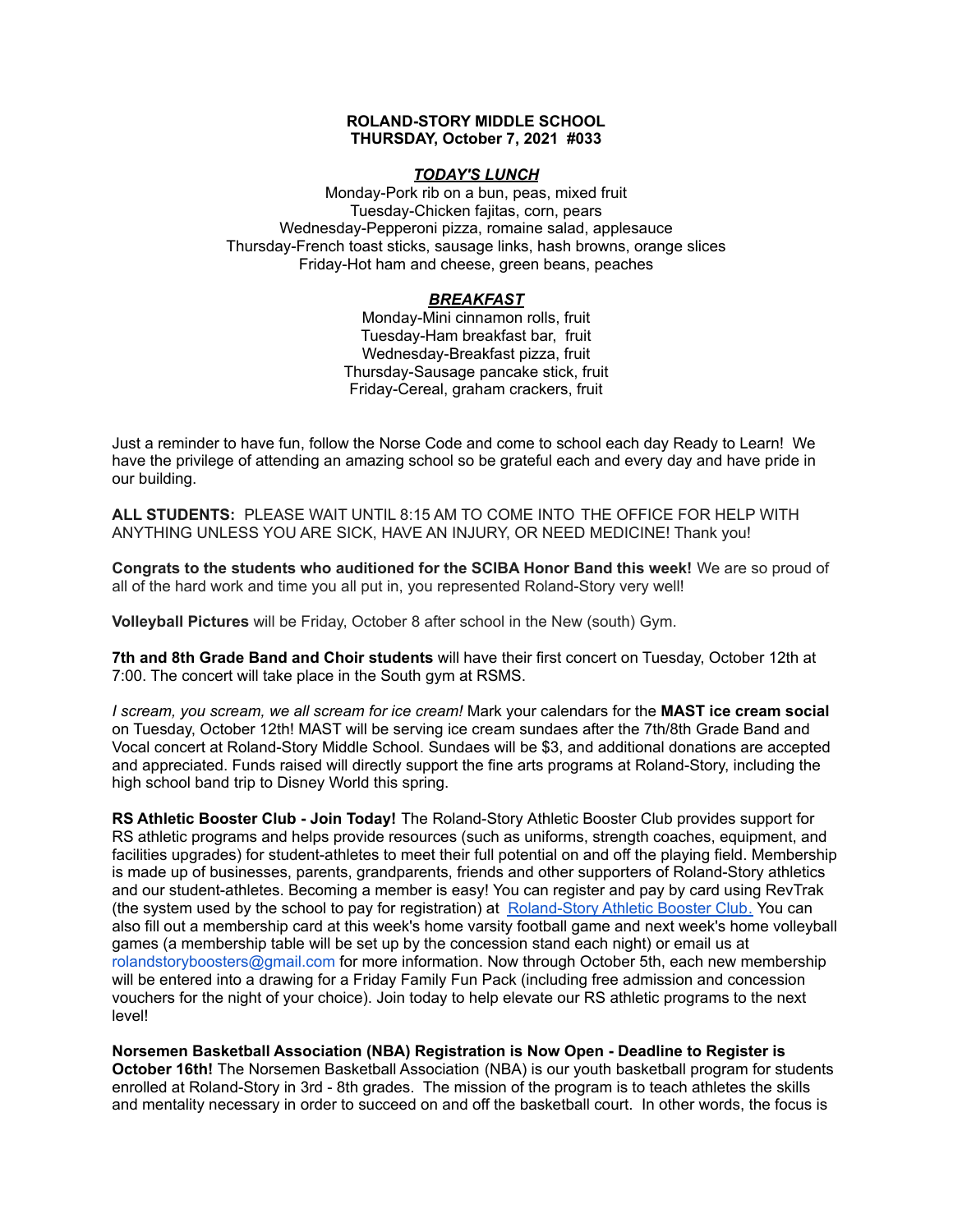## **ROLAND-STORY MIDDLE SCHOOL THURSDAY, October 7, 2021 #033**

### *TODAY'S LUNCH*

Monday-Pork rib on a bun, peas, mixed fruit Tuesday-Chicken fajitas, corn, pears Wednesday-Pepperoni pizza, romaine salad, applesauce Thursday-French toast sticks, sausage links, hash browns, orange slices Friday-Hot ham and cheese, green beans, peaches

## *BREAKFAST*

Monday-Mini cinnamon rolls, fruit Tuesday-Ham breakfast bar, fruit Wednesday-Breakfast pizza, fruit Thursday-Sausage pancake stick, fruit Friday-Cereal, graham crackers, fruit

Just a reminder to have fun, follow the Norse Code and come to school each day Ready to Learn! We have the privilege of attending an amazing school so be grateful each and every day and have pride in our building.

**ALL STUDENTS:** PLEASE WAIT UNTIL 8:15 AM TO COME INTO THE OFFICE FOR HELP WITH ANYTHING UNLESS YOU ARE SICK, HAVE AN INJURY, OR NEED MEDICINE! Thank you!

**Congrats to the students who auditioned for the SCIBA Honor Band this week!** We are so proud of all of the hard work and time you all put in, you represented Roland-Story very well!

**Volleyball Pictures** will be Friday, October 8 after school in the New (south) Gym.

**7th and 8th Grade Band and Choir students** will have their first concert on Tuesday, October 12th at 7:00. The concert will take place in the South gym at RSMS.

*I scream, you scream, we all scream for ice cream!* Mark your calendars for the **MAST ice cream social** on Tuesday, October 12th! MAST will be serving ice cream sundaes after the 7th/8th Grade Band and Vocal concert at Roland-Story Middle School. Sundaes will be \$3, and additional donations are accepted and appreciated. Funds raised will directly support the fine arts programs at Roland-Story, including the high school band trip to Disney World this spring.

**RS Athletic Booster Club - Join Today!** The Roland-Story Athletic Booster Club provides support for RS athletic programs and helps provide resources (such as uniforms, strength coaches, equipment, and facilities upgrades) for student-athletes to meet their full potential on and off the playing field. Membership is made up of businesses, parents, grandparents, friends and other supporters of Roland-Story athletics and our student-athletes. Becoming a member is easy! You can register and pay by card using RevTrak (the system used by the school to pay for registration) at [Roland-Story](https://rolandstory.revtrak.net/Roland-Story-Athletic-Booster-Club/) Athletic Booster Club. You can also fill out a membership card at this week's home varsity football game and next week's home volleyball games (a membership table will be set up by the concession stand each night) or email us at rolandstoryboosters@gmail.com for more information. Now through October 5th, each new membership will be entered into a drawing for a Friday Family Fun Pack (including free admission and concession vouchers for the night of your choice). Join today to help elevate our RS athletic programs to the next level!

**Norsemen Basketball Association (NBA) Registration is Now Open - Deadline to Register is October 16th!** The Norsemen Basketball Association (NBA) is our youth basketball program for students enrolled at Roland-Story in 3rd - 8th grades. The mission of the program is to teach athletes the skills and mentality necessary in order to succeed on and off the basketball court. In other words, the focus is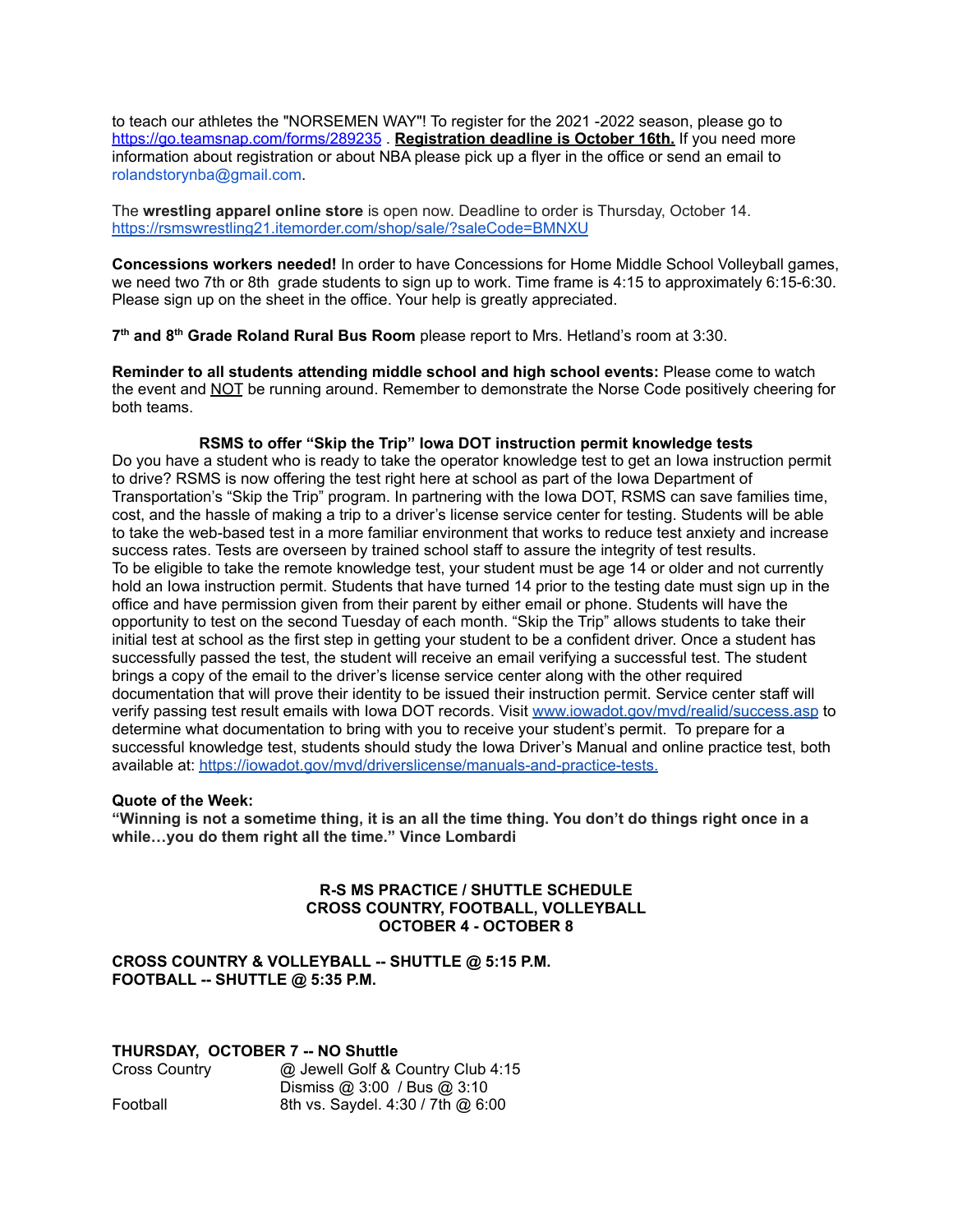to teach our athletes the "NORSEMEN WAY"! To register for the 2021 -2022 season, please go to <https://go.teamsnap.com/forms/289235> . **Registration deadline is October 16th.** If you need more information about registration or about NBA please pick up a flyer in the office or send an email to rolandstorynba@gmail.com.

The **wrestling apparel online store** is open now. Deadline to order is Thursday, October 14. <https://rsmswrestling21.itemorder.com/shop/sale/?saleCode=BMNXU>

**Concessions workers needed!** In order to have Concessions for Home Middle School Volleyball games, we need two 7th or 8th grade students to sign up to work. Time frame is 4:15 to approximately 6:15-6:30. Please sign up on the sheet in the office. Your help is greatly appreciated.

**7 th and 8 th Grade Roland Rural Bus Room** please report to Mrs. Hetland's room at 3:30.

**Reminder to all students attending middle school and high school events:** Please come to watch the event and NOT be running around. Remember to demonstrate the Norse Code positively cheering for both teams.

### **RSMS to offer "Skip the Trip" Iowa DOT instruction permit knowledge tests**

Do you have a student who is ready to take the operator knowledge test to get an Iowa instruction permit to drive? RSMS is now offering the test right here at school as part of the Iowa Department of Transportation's "Skip the Trip" program. In partnering with the Iowa DOT, RSMS can save families time, cost, and the hassle of making a trip to a driver's license service center for testing. Students will be able to take the web-based test in a more familiar environment that works to reduce test anxiety and increase success rates. Tests are overseen by trained school staff to assure the integrity of test results. To be eligible to take the remote knowledge test, your student must be age 14 or older and not currently hold an Iowa instruction permit. Students that have turned 14 prior to the testing date must sign up in the office and have permission given from their parent by either email or phone. Students will have the opportunity to test on the second Tuesday of each month. "Skip the Trip" allows students to take their initial test at school as the first step in getting your student to be a confident driver. Once a student has successfully passed the test, the student will receive an email verifying a successful test. The student brings a copy of the email to the driver's license service center along with the other required documentation that will prove their identity to be issued their instruction permit. Service center staff will verify passing test result emails with Iowa DOT records. Visit [www.iowadot.gov/mvd/realid/success.asp](http://www.iowadot.gov/mvd/realid/success.asp) to determine what documentation to bring with you to receive your student's permit. To prepare for a successful knowledge test, students should study the Iowa Driver's Manual and online practice test, both available at: <https://iowadot.gov/mvd/driverslicense/manuals-and-practice-tests>.

#### **Quote of the Week:**

"Winning is not a sometime thing, it is an all the time thing. You don't do things right once in a **while…you do them right all the time." Vince Lombardi**

## **R-S MS PRACTICE / SHUTTLE SCHEDULE CROSS COUNTRY, FOOTBALL, VOLLEYBALL OCTOBER 4 - OCTOBER 8**

**CROSS COUNTRY & VOLLEYBALL -- SHUTTLE @ 5:15 P.M. FOOTBALL -- SHUTTLE @ 5:35 P.M.**

| THURSDAY, OCTOBER 7 -- NO Shuttle |                                   |
|-----------------------------------|-----------------------------------|
| Cross Country                     | @ Jewell Golf & Country Club 4:15 |
|                                   | Dismiss @ $3:00$ / Bus @ $3:10$   |
| Football                          | 8th vs. Saydel. 4:30 / 7th @ 6:00 |